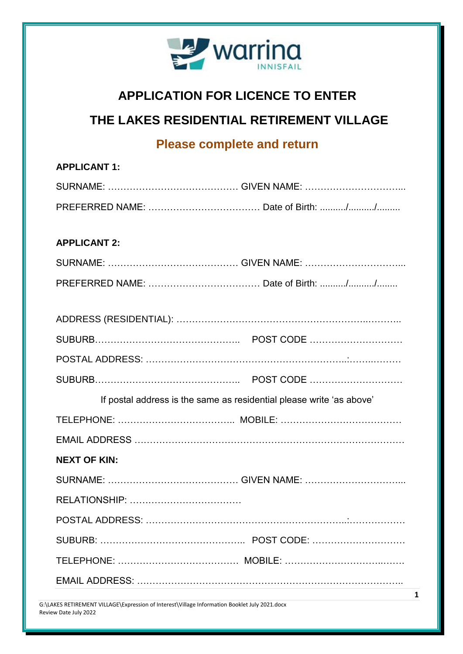

## **APPLICATION FOR LICENCE TO ENTER**

## **THE LAKES RESIDENTIAL RETIREMENT VILLAGE**

## **Please complete and return**

| <b>APPLICANT 1:</b>                                                  |  |  |
|----------------------------------------------------------------------|--|--|
|                                                                      |  |  |
|                                                                      |  |  |
|                                                                      |  |  |
| <b>APPLICANT 2:</b>                                                  |  |  |
|                                                                      |  |  |
|                                                                      |  |  |
|                                                                      |  |  |
|                                                                      |  |  |
|                                                                      |  |  |
|                                                                      |  |  |
|                                                                      |  |  |
| If postal address is the same as residential please write 'as above' |  |  |
|                                                                      |  |  |
|                                                                      |  |  |
| <b>NEXT OF KIN:</b>                                                  |  |  |
|                                                                      |  |  |
|                                                                      |  |  |
|                                                                      |  |  |
|                                                                      |  |  |
|                                                                      |  |  |
|                                                                      |  |  |
|                                                                      |  |  |

G:\LAKES RETIREMENT VILLAGE\Expression of Interest\Village Information Booklet July 2021.docx Review Date July 2022